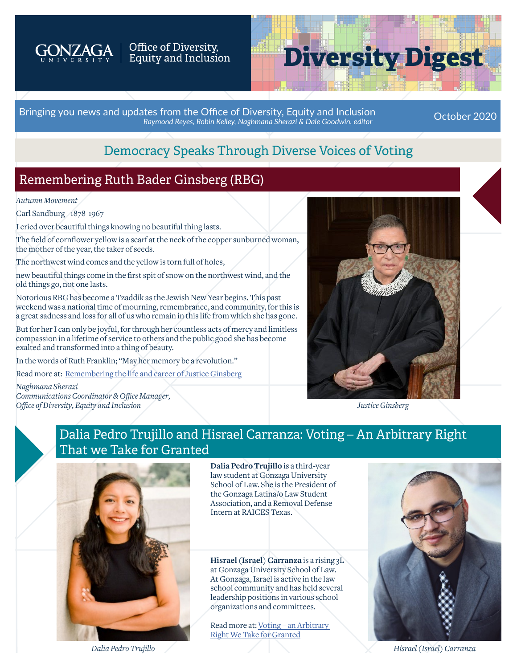

# Office of Diversity,<br>Equity and Inclusion

# **Diversity Digest**

Bringing you news and updates from the Office of Diversity, Equity and Inclusion *Raymond Reyes, Robin Kelley, Naghmana Sherazi & Dale Goodwin, editor* October 2020

# Democracy Speaks Through Diverse Voices of Voting

# Remembering Ruth Bader Ginsberg (RBG)

*Autumn Movement*

Carl Sandburg - 1878-1967

I cried over beautiful things knowing no beautiful thing lasts.

The field of cornflower yellow is a scarf at the neck of the copper sunburned woman, the mother of the year, the taker of seeds.

The northwest wind comes and the yellow is torn full of holes,

new beautiful things come in the first spit of snow on the northwest wind, and the old things go, not one lasts.

Notorious RBG has become a Tzaddik as the Jewish New Year begins. This past weekend was a national time of mourning, remembrance, and community, for this is a great sadness and loss for all of us who remain in this life from which she has gone.

But for her I can only be joyful, for through her countless acts of mercy and limitless compassion in a lifetime of service to others and the public good she has become exalted and transformed into a thing of beauty.

In the words of Ruth Franklin; "May her memory be a revolution."

Read more at: [Remembering the life and career of Justice Ginsberg](https://www.washingtonpost.com/video/national/remembering-the-life-and-career-of-justice-ruth-bader-ginsburg/2020/09/18/a166a8b8-0334-4781-a27a-8c3829e96508_video.html?fbclid=IwAR0SRwC7zSrWo2vQttvr4itWUrRKPVxz_EZlgjuzBKJDQ-EVBlILm0fT1nY)

*Naghmana Sherazi Communications Coordinator & Office Manager, Office of Diversity, Equity and Inclusion*



*Justice Ginsberg*

#### Dalia Pedro Trujillo and Hisrael Carranza: Voting – An Arbitrary Right That we Take for Granted



**Dalia Pedro Trujillo** is a third-year law student at Gonzaga University School of Law. She is the President of the Gonzaga Latina/o Law Student Association, and a Removal Defense Intern at RAICES Texas.

**Hisrael (Israel) Carranza** is a rising 3L at Gonzaga University School of Law. At Gonzaga, Israel is active in the law school community and has held several leadership positions in various school organizations and committees.

Read more at: [Voting – an Arbitrary](https://www.gonzaga.edu/-/media/Website/Documents/About/Diversity-Inclusion/Diversity-Digest/Voting---An-Arbitrary-Right-We-Take-for-Granted.ashx?la=en&hash=5FA4B32F0846CC1BAB80DFF32BAB426DB5C4A244)  [Right We Take for Granted](https://www.gonzaga.edu/-/media/Website/Documents/About/Diversity-Inclusion/Diversity-Digest/Voting---An-Arbitrary-Right-We-Take-for-Granted.ashx?la=en&hash=5FA4B32F0846CC1BAB80DFF32BAB426DB5C4A244)



*Dalia Pedro Trujillo*

*Hisrael (Israel) Carranza*